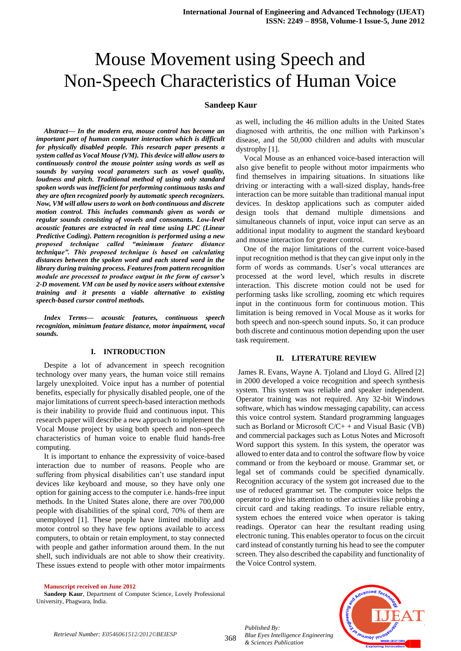# Mouse Movement using Speech and Non-Speech Characteristics of Human Voice

### **Sandeep Kaur**

*Abstract***—** *In the modern era, mouse control has become an important part of human computer interaction which is difficult for physically disabled people. This research paper presents a system called as Vocal Mouse (VM). This device will allow users to continuously control the mouse pointer using words as well as sounds by varying vocal parameters such as vowel quality, loudness and pitch. Traditional method of using only standard spoken words was inefficient for performing continuous tasks and they are often recognized poorly by automatic speech recognizers. Now, VM will allow users to work on both continuous and discrete motion control. This includes commands given as words or regular sounds consisting of vowels and consonants. Low-level acoustic features are extracted in real time using LPC (Linear Predictive Coding). Pattern recognition is performed using a new proposed technique called "minimum feature distance technique". This proposed technique is based on calculating distances between the spoken word and each stored word in the library during training process. Features from pattern recognition module are processed to produce output in the form of cursor's 2-D movement. VM can be used by novice users without extensive training and it presents a viable alternative to existing speech-based cursor control methods.*

*Index Terms— acoustic features, continuous speech recognition, minimum feature distance, motor impairment, vocal sounds.*

### **I. INTRODUCTION**

 Despite a lot of advancement in speech recognition technology over many years, the human voice still remains largely unexploited. Voice input has a number of potential benefits, especially for physically disabled people, one of the major limitations of current speech-based interaction methods is their inability to provide fluid and continuous input. This research paper will describe a new approach to implement the Vocal Mouse project by using both speech and non-speech characteristics of human voice to enable fluid hands-free computing.

It is important to enhance the expressivity of voice-based interaction due to number of reasons. People who are suffering from physical disabilities can't use standard input devices like keyboard and mouse, so they have only one option for gaining access to the computer i.e. hands-free input methods. In the United States alone, there are over 700,000 people with disabilities of the spinal cord, 70% of them are unemployed [1]. These people have limited mobility and motor control so they have few options available to access computers, to obtain or retain employment, to stay connected with people and gather information around them. In the nut shell, such individuals are not able to show their creativity. These issues extend to people with other motor impairments

as well, including the 46 million adults in the United States diagnosed with arthritis, the one million with Parkinson's disease, and the 50,000 children and adults with muscular dystrophy [1].

Vocal Mouse as an enhanced voice-based interaction will also give benefit to people without motor impairments who find themselves in impairing situations. In situations like driving or interacting with a wall-sized display, hands-free interaction can be more suitable than traditional manual input devices. In desktop applications such as computer aided design tools that demand multiple dimensions and simultaneous channels of input, voice input can serve as an additional input modality to augment the standard keyboard and mouse interaction for greater control.

One of the major limitations of the current voice-based input recognition method is that they can give input only in the form of words as commands. User's vocal utterances are processed at the word level, which results in discrete interaction. This discrete motion could not be used for performing tasks like scrolling, zooming etc which requires input in the continuous form for continuous motion. This limitation is being removed in Vocal Mouse as it works for both speech and non-speech sound inputs. So, it can produce both discrete and continuous motion depending upon the user task requirement.

#### **II. LITERATURE REVIEW**

James R. Evans, Wayne A. Tjoland and Lloyd G. Allred [2] in 2000 developed a voice recognition and speech synthesis system. This system was reliable and speaker independent. Operator training was not required. Any 32-bit Windows software, which has window messaging capability, can access this voice control system. Standard programming languages such as Borland or Microsoft C/C+ + and Visual Basic (VB) and commercial packages such as Lotus Notes and Microsoft Word support this system. In this system, the operator was allowed to enter data and to control the software flow by voice command or from the keyboard or mouse. Grammar set, or legal set of commands could be specified dynamically. Recognition accuracy of the system got increased due to the use of reduced grammar set. The computer voice helps the operator to give his attention to other activities like probing a circuit card and taking readings. To insure reliable entry, system echoes the entered voice when operator is taking readings. Operator can hear the resultant reading using electronic tuning. This enables operator to focus on the circuit card instead of constantly turning his head to see the computer screen. They also described the capability and functionality of the Voice Control system.

#### **Manuscript received on June 2012**

**Sandeep Kaur**, Department of Computer Science, Lovely Professional University, Phagwara, India.



*Published By:*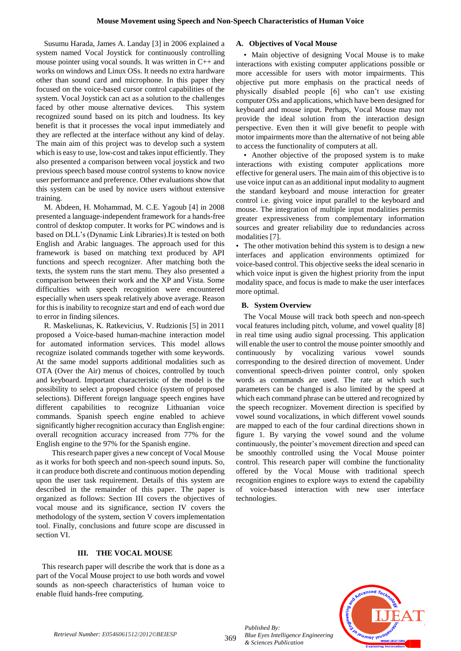Susumu Harada, James A. Landay [3] in 2006 explained a system named Vocal Joystick for continuously controlling mouse pointer using vocal sounds. It was written in C++ and works on windows and Linux OSs. It needs no extra hardware other than sound card and microphone. In this paper they focused on the voice-based cursor control capabilities of the system. Vocal Joystick can act as a solution to the challenges faced by other mouse alternative devices. This system recognized sound based on its pitch and loudness. Its key benefit is that it processes the vocal input immediately and they are reflected at the interface without any kind of delay. The main aim of this project was to develop such a system which is easy to use, low-cost and takes input efficiently. They also presented a comparison between vocal joystick and two previous speech based mouse control systems to know novice user performance and preference. Other evaluations show that this system can be used by novice users without extensive training.

M. Abdeen, H. Mohammad, M. C.E. Yagoub [4] in 2008 presented a language-independent framework for a hands-free control of desktop computer. It works for PC windows and is based on DLL's (Dynamic Link Libraries).It is tested on both English and Arabic languages. The approach used for this framework is based on matching text produced by API functions and speech recognizer. After matching both the texts, the system runs the start menu. They also presented a comparison between their work and the XP and Vista. Some difficulties with speech recognition were encountered especially when users speak relatively above average. Reason for this is inability to recognize start and end of each word due to error in finding silences.

R. Maskeliunas, K. Ratkevicius, V. Rudzionis [5] in 2011 proposed a Voice-based human-machine interaction model for automated information services. This model allows recognize isolated commands together with some keywords. At the same model supports additional modalities such as OTA (Over the Air) menus of choices, controlled by touch and keyboard. Important characteristic of the model is the possibility to select a proposed choice (system of proposed selections). Different foreign language speech engines have different capabilities to recognize Lithuanian voice commands. Spanish speech engine enabled to achieve significantly higher recognition accuracy than English engine: overall recognition accuracy increased from 77% for the English engine to the 97% for the Spanish engine.

This research paper gives a new concept of Vocal Mouse as it works for both speech and non-speech sound inputs. So, it can produce both discrete and continuous motion depending upon the user task requirement. Details of this system are described in the remainder of this paper. The paper is organized as follows: Section III covers the objectives of vocal mouse and its significance, section IV covers the methodology of the system, section V covers implementation tool. Finally, conclusions and future scope are discussed in section VI.

## **III. THE VOCAL MOUSE**

 This research paper will describe the work that is done as a part of the Vocal Mouse project to use both words and vowel sounds as non-speech characteristics of human voice to enable fluid hands-free computing.

## **A. Objectives of Vocal Mouse**

• Main objective of designing Vocal Mouse is to make interactions with existing computer applications possible or more accessible for users with motor impairments. This objective put more emphasis on the practical needs of physically disabled people [6] who can't use existing computer OSs and applications, which have been designed for keyboard and mouse input. Perhaps, Vocal Mouse may not provide the ideal solution from the interaction design perspective. Even then it will give benefit to people with motor impairments more than the alternative of not being able to access the functionality of computers at all.

• Another objective of the proposed system is to make interactions with existing computer applications more effective for general users. The main aim of this objective is to use voice input can as an additional input modality to augment the standard keyboard and mouse interaction for greater control i.e. giving voice input parallel to the keyboard and mouse. The integration of multiple input modalities permits greater expressiveness from complementary information sources and greater reliability due to redundancies across modalities [7].

• The other motivation behind this system is to design a new interfaces and application environments optimized for voice-based control. This objective seeks the ideal scenario in which voice input is given the highest priority from the input modality space, and focus is made to make the user interfaces more optimal.

## **B. System Overview**

The Vocal Mouse will track both speech and non-speech vocal features including pitch, volume, and vowel quality [8] in real time using audio signal processing. This application will enable the user to control the mouse pointer smoothly and continuously by vocalizing various vowel sounds corresponding to the desired direction of movement. Under conventional speech-driven pointer control, only spoken words as commands are used. The rate at which such parameters can be changed is also limited by the speed at which each command phrase can be uttered and recognized by the speech recognizer. Movement direction is specified by vowel sound vocalizations, in which different vowel sounds are mapped to each of the four cardinal directions shown in figure 1. By varying the vowel sound and the volume continuously, the pointer's movement direction and speed can be smoothly controlled using the Vocal Mouse pointer control. This research paper will combine the functionality offered by the Vocal Mouse with traditional speech recognition engines to explore ways to extend the capability of voice-based interaction with new user interface technologies.



*Published By:*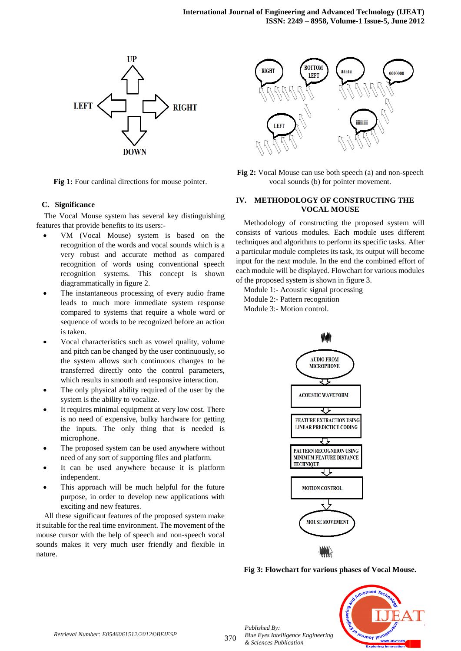

**Fig 1:** Four cardinal directions for mouse pointer.

#### **C. Significance**

The Vocal Mouse system has several key distinguishing features that provide benefits to its users:-

- VM (Vocal Mouse) system is based on the recognition of the words and vocal sounds which is a very robust and accurate method as compared recognition of words using conventional speech recognition systems. This concept is shown diagrammatically in figure 2.
- The instantaneous processing of every audio frame leads to much more immediate system response compared to systems that require a whole word or sequence of words to be recognized before an action is taken.
- Vocal characteristics such as vowel quality, volume and pitch can be changed by the user continuously, so the system allows such continuous changes to be transferred directly onto the control parameters, which results in smooth and responsive interaction.
- The only physical ability required of the user by the system is the ability to vocalize.
- It requires minimal equipment at very low cost. There is no need of expensive, bulky hardware for getting the inputs. The only thing that is needed is microphone.
- The proposed system can be used anywhere without need of any sort of supporting files and platform.
- It can be used anywhere because it is platform independent.
- This approach will be much helpful for the future purpose, in order to develop new applications with exciting and new features.

All these significant features of the proposed system make it suitable for the real time environment. The movement of the mouse cursor with the help of speech and non-speech vocal sounds makes it very much user friendly and flexible in nature.



**Fig 2:** Vocal Mouse can use both speech (a) and non-speech vocal sounds (b) for pointer movement.

#### **IV. METHODOLOGY OF CONSTRUCTING THE VOCAL MOUSE**

Methodology of constructing the proposed system will consists of various modules. Each module uses different techniques and algorithms to perform its specific tasks. After a particular module completes its task, its output will become input for the next module. In the end the combined effort of each module will be displayed. Flowchart for various modules of the proposed system is shown in figure 3.

Module 1:- Acoustic signal processing

- Module 2:- Pattern recognition
- Module 3:- Motion control.



**Fig 3: Flowchart for various phases of Vocal Mouse.**



*Retrieval Number: E0546061512/2012©BEIESP*

370

*Published By:*

*& Sciences Publication* 

*Blue Eyes Intelligence Engineering*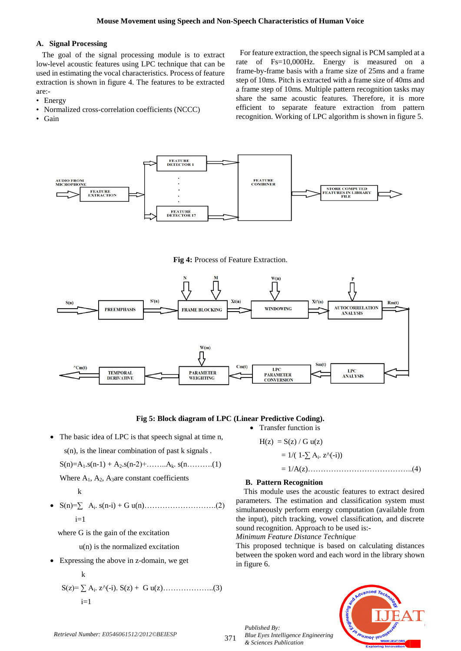#### **A. Signal Processing**

 The goal of the signal processing module is to extract low-level acoustic features using LPC technique that can be used in estimating the vocal characteristics. Process of feature extraction is shown in figure 4. The features to be extracted are:-

- Energy
- Normalized cross-correlation coefficients (NCCC)
- Gain

For feature extraction, the speech signal is PCM sampled at a rate of Fs=10,000Hz. Energy is measured on a frame-by-frame basis with a frame size of 25ms and a frame step of 10ms. Pitch is extracted with a frame size of 40ms and a frame step of 10ms. Multiple pattern recognition tasks may share the same acoustic features. Therefore, it is more efficient to separate feature extraction from pattern recognition. Working of LPC algorithm is shown in figure 5.



**Fig 4:** Process of Feature Extraction.



## **Fig 5: Block diagram of LPC (Linear Predictive Coding).**

 The basic idea of LPC is that speech signal at time n, s(n), is the linear combination of past k signals .

$$
S(n)=A_1.s(n-1)+A_2.s(n-2)+\ldots\ldots\ldots\ldots A_k.\ s(n,\ldots\ldots\ldots(1)
$$

Where  $A_1$ ,  $A_2$ ,  $A_3$  are constant coefficients

$$
\mathbf{k}^{\top}
$$

- S(n)=∑ A<sup>i</sup> . s(n-i) + G u(n)……………………….(2)  $i=1$ 
	- where G is the gain of the excitation
		- u(n) is the normalized excitation
- Expressing the above in z-domain, we get k S(z)= ∑ A<sup>i</sup> . z^(-i). S(z) + G u(z)………………..(3)

$$
i = 1
$$

 $H(z) = S(z) / G u(z)$  $= 1/(1-\sum A_i \cdot z^{\hat{ }} (-i))$ 

## $= 1/A(z)$ …………………………………………………..(4)

## **B. Pattern Recognition**

• Transfer function is

 This module uses the acoustic features to extract desired parameters. The estimation and classification system must simultaneously perform energy computation (available from the input), pitch tracking, vowel classification, and discrete sound recognition. Approach to be used is:-

*Minimum Feature Distance Technique*

This proposed technique is based on calculating distances between the spoken word and each word in the library shown in figure 6.

*Published By: Blue Eyes Intelligence Engineering & Sciences Publication* 



371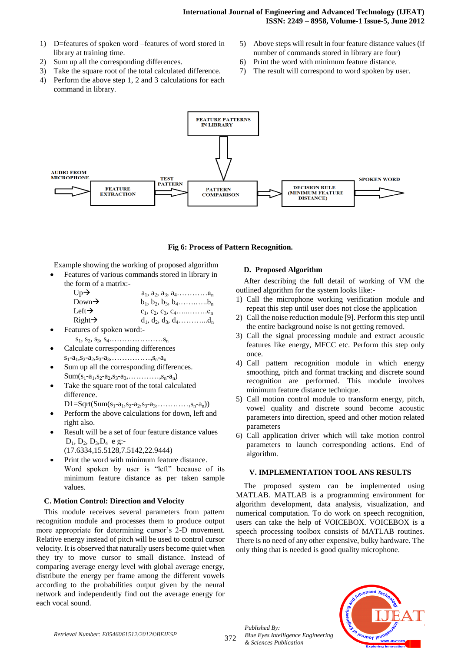- 1) D=features of spoken word –features of word stored in library at training time.
- 2) Sum up all the corresponding differences.
- 3) Take the square root of the total calculated difference.
- 4) Perform the above step 1, 2 and 3 calculations for each command in library.
- 5) Above steps will result in four feature distance values (if number of commands stored in library are four)
- 6) Print the word with minimum feature distance.
- 7) The result will correspond to word spoken by user.



## **Fig 6: Process of Pattern Recognition.**

Example showing the working of proposed algorithm

 Features of various commands stored in library in the form of a matrix:-

| $Up\rightarrow$    | $a_1, a_2, a_3, a_4, \ldots, a_n$             |
|--------------------|-----------------------------------------------|
| Down $\rightarrow$ | $b_1, b_2, b_3, b_4 \ldots \ldots \ldots b_n$ |
| Left $\rightarrow$ | $c_1, c_2, c_3, c_4, \ldots, c_n$             |
| $Right\rightarrow$ | $d_1, d_2, d_3, d_4, \ldots, d_n$             |

- Features of spoken word:  $s_1, s_2, s_3, s_4, \ldots, s_n$
- Calculate corresponding differences  $s_1-a_1,s_2-a_2,s_3-a_3,\ldots,\ldots,s_n-a_n$
- Sum up all the corresponding differences.  $Sum(s_1-a_1,s_2-a_2,s_3-a_3,\ldots,s_n-a_n)$
- Take the square root of the total calculated difference.

 $D1 = Sqrt(Sum(s_1-a_1,s_2-a_2,s_3-a_3, \ldots, s_n-a_n))$ 

- Perform the above calculations for down, left and right also.
- Result will be a set of four feature distance values  $D_1$ ,  $D_2$ ,  $D_3$ ,  $D_4$  e g:-
	- (17.6334,15.5128,7.5142,22.9444)
- Print the word with minimum feature distance. Word spoken by user is "left" because of its minimum feature distance as per taken sample values.

## **C. Motion Control: Direction and Velocity**

This module receives several parameters from pattern recognition module and processes them to produce output more appropriate for determining cursor's 2-D movement. Relative energy instead of pitch will be used to control cursor velocity. It is observed that naturally users become quiet when they try to move cursor to small distance. Instead of comparing average energy level with global average energy, distribute the energy per frame among the different vowels according to the probabilities output given by the neural network and independently find out the average energy for each vocal sound.

## **D. Proposed Algorithm**

After describing the full detail of working of VM the outlined algorithm for the system looks like:-

- 1) Call the microphone working verification module and repeat this step until user does not close the application
- 2) Call the noise reduction module [9]. Perform this step until the entire background noise is not getting removed.
- 3) Call the signal processing module and extract acoustic features like energy, MFCC etc. Perform this step only once.
- 4) Call pattern recognition module in which energy smoothing, pitch and format tracking and discrete sound recognition are performed. This module involves minimum feature distance technique.
- 5) Call motion control module to transform energy, pitch, vowel quality and discrete sound become acoustic parameters into direction, speed and other motion related parameters
- 6) Call application driver which will take motion control parameters to launch corresponding actions. End of algorithm.

## **V. IMPLEMENTATION TOOL ANS RESULTS**

 The proposed system can be implemented using MATLAB. MATLAB is a programming environment for algorithm development, data analysis, visualization, and numerical computation. To do work on speech recognition, users can take the help of VOICEBOX. VOICEBOX is a speech processing toolbox consists of MATLAB routines. There is no need of any other expensive, bulky hardware. The only thing that is needed is good quality microphone.



*Retrieval Number: E0546061512/2012©BEIESP*

372

*Published By: Blue Eyes Intelligence Engineering & Sciences Publication*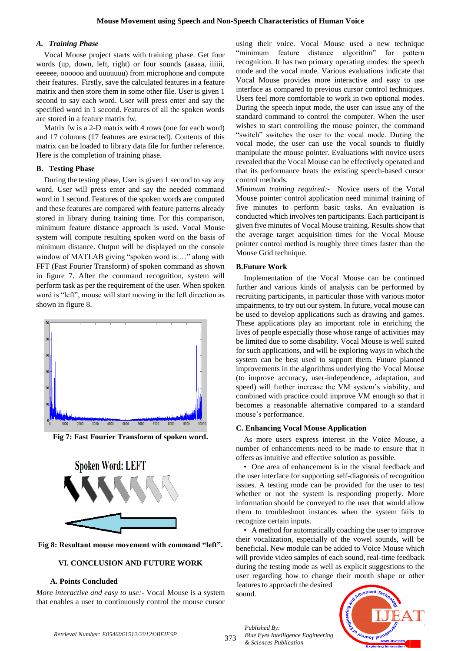#### *A. Training Phase*

Vocal Mouse project starts with training phase. Get four words (up, down, left, right) or four sounds (aaaaa, iiiiii, eeeeee, oooooo and uuuuuuu) from microphone and compute their features. Firstly, save the calculated features in a feature matrix and then store them in some other file. User is given 1 second to say each word. User will press enter and say the specified word in 1 second. Features of all the spoken words are stored in a feature matrix fw.

Matrix fw is a 2-D matrix with 4 rows (one for each word) and 17 columns (17 features are extracted). Contents of this matrix can be loaded to library data file for further reference. Here is the completion of training phase.

## **B. Testing Phase**

During the testing phase, User is given 1 second to say any word. User will press enter and say the needed command word in 1 second. Features of the spoken words are computed and these features are compared with feature patterns already stored in library during training time. For this comparison, minimum feature distance approach is used. Vocal Mouse system will compute resulting spoken word on the basis of minimum distance. Output will be displayed on the console window of MATLAB giving "spoken word is:..." along with FFT (Fast Fourier Transform) of spoken command as shown in figure 7. After the command recognition, system will perform task as per the requirement of the user. When spoken word is "left", mouse will start moving in the left direction as shown in figure 8.



**Fig 7: Fast Fourier Transform of spoken word.**





## **VI. CONCLUSION AND FUTURE WORK**

#### **A. Points Concluded**

*More interactive and easy to use:-* Vocal Mouse is a system that enables a user to continuously control the mouse cursor using their voice. Vocal Mouse used a new technique "minimum feature distance algorithm" for pattern recognition. It has two primary operating modes: the speech mode and the vocal mode. Various evaluations indicate that Vocal Mouse provides more interactive and easy to use interface as compared to previous cursor control techniques. Users feel more comfortable to work in two optional modes. During the speech input mode, the user can issue any of the standard command to control the computer. When the user wishes to start controlling the mouse pointer, the command "switch" switches the user to the vocal mode. During the vocal mode, the user can use the vocal sounds to fluidly manipulate the mouse pointer. Evaluations with novice users revealed that the Vocal Mouse can be effectively operated and that its performance beats the existing speech-based cursor control methods.

*Minimum training required:-* Novice users of the Vocal Mouse pointer control application need minimal training of five minutes to perform basic tasks. An evaluation is conducted which involves ten participants. Each participant is given five minutes of Vocal Mouse training. Results show that the average target acquisition times for the Vocal Mouse pointer control method is roughly three times faster than the Mouse Grid technique.

#### **B.Future Work**

Implementation of the Vocal Mouse can be continued further and various kinds of analysis can be performed by recruiting participants, in particular those with various motor impairments, to try out our system. In future, vocal mouse can be used to develop applications such as drawing and games. These applications play an important role in enriching the lives of people especially those whose range of activities may be limited due to some disability. Vocal Mouse is well suited for such applications, and will be exploring ways in which the system can be best used to support them. Future planned improvements in the algorithms underlying the Vocal Mouse (to improve accuracy, user-independence, adaptation, and speed) will further increase the VM system's viability, and combined with practice could improve VM enough so that it becomes a reasonable alternative compared to a standard mouse's performance.

#### **C. Enhancing Vocal Mouse Application**

As more users express interest in the Voice Mouse, a number of enhancements need to be made to ensure that it offers as intuitive and effective solution as possible.

• One area of enhancement is in the visual feedback and the user interface for supporting self-diagnosis of recognition issues. A testing mode can be provided for the user to test whether or not the system is responding properly. More information should be conveyed to the user that would allow them to troubleshoot instances when the system fails to recognize certain inputs.

• A method for automatically coaching the user to improve their vocalization, especially of the vowel sounds, will be beneficial. New module can be added to Voice Mouse which will provide video samples of each sound, real-time feedback during the testing mode as well as explicit suggestions to the user regarding how to change their mouth shape or other features to approach the desired

sound.

*Blue Eyes Intelligence Engineering* 

*Published By:*